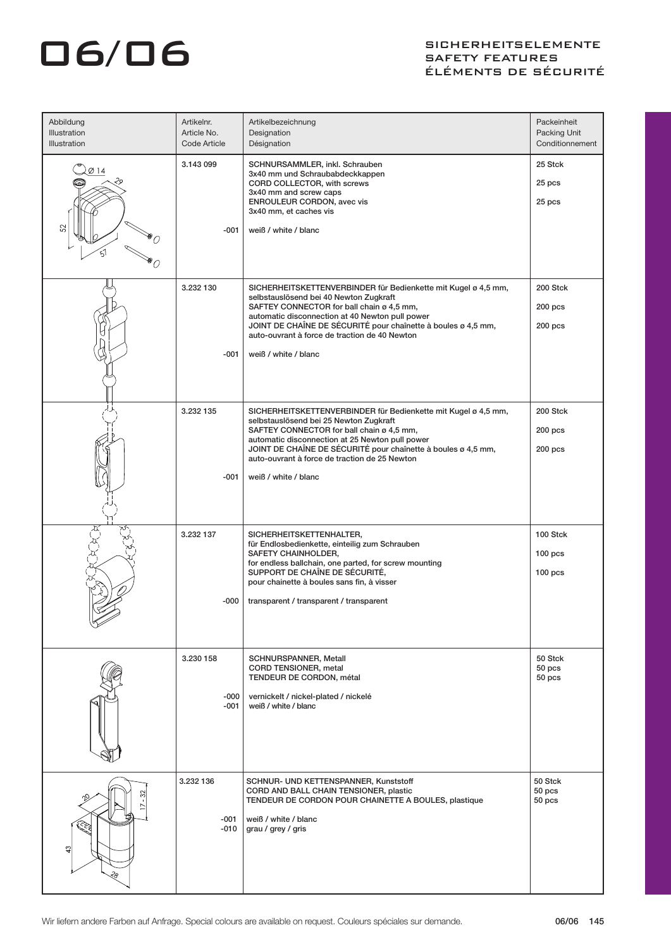### O6/06 SIGHERHEITSELEMENTE SAFETY FEATURES ÉLÉMENTS DE SÉCURITÉ

| Abbildung<br><b>Illustration</b><br><b>Illustration</b> | Artikelnr.<br>Article No.<br>Code Article | Artikelbezeichnung<br>Designation<br>Désignation                                                                                                                                                                                                                                                                                                   | Packeinheit<br>Packing Unit<br>Conditionnement |
|---------------------------------------------------------|-------------------------------------------|----------------------------------------------------------------------------------------------------------------------------------------------------------------------------------------------------------------------------------------------------------------------------------------------------------------------------------------------------|------------------------------------------------|
| Ø 14                                                    | 3.143 099<br>-001                         | SCHNURSAMMLER, inkl. Schrauben<br>3x40 mm und Schraubabdeckkappen<br>CORD COLLECTOR, with screws<br>3x40 mm and screw caps<br>ENROULEUR CORDON, avec vis<br>3x40 mm, et caches vis<br>weiß / white / blanc                                                                                                                                         | 25 Stck<br>25 pcs<br>25 pcs                    |
|                                                         | 3.232 130<br>-001                         | SICHERHEITSKETTENVERBINDER für Bedienkette mit Kugel ø 4,5 mm,<br>selbstauslösend bei 40 Newton Zugkraft<br>SAFTEY CONNECTOR for ball chain ø 4,5 mm,<br>automatic disconnection at 40 Newton pull power<br>JOINT DE CHAÎNE DE SÉCURITÉ pour chaînette à boules ø 4,5 mm,<br>auto-ouvrant à force de traction de 40 Newton<br>weiß / white / blanc | 200 Stck<br>$200$ pcs<br>$200$ pcs             |
|                                                         | 3.232 135<br>-001                         | SICHERHEITSKETTENVERBINDER für Bedienkette mit Kugel ø 4,5 mm,<br>selbstauslösend bei 25 Newton Zugkraft<br>SAFTEY CONNECTOR for ball chain ø 4,5 mm,<br>automatic disconnection at 25 Newton pull power<br>JOINT DE CHAÎNE DE SÉCURITÉ pour chaînette à boules ø 4,5 mm,<br>auto-ouvrant à force de traction de 25 Newton<br>weiß / white / blanc | 200 Stck<br>$200$ pcs<br>$200$ pcs             |
|                                                         | 3.232 137<br>-000                         | SICHERHEITSKETTENHALTER,<br>für Endlosbedienkette, einteilig zum Schrauben<br>SAFETY CHAINHOLDER,<br>for endless ballchain, one parted, for screw mounting<br>SUPPORT DE CHAÎNE DE SÉCURITÉ,<br>pour chainette à boules sans fin, à visser<br>transparent / transparent / transparent                                                              | 100 Stck<br>100 <sub>pos</sub><br>$100$ pcs    |
|                                                         | 3.230 158<br>-000<br>-001                 | SCHNURSPANNER, Metall<br>CORD TENSIONER, metal<br>TENDEUR DE CORDON, métal<br>vernickelt / nickel-plated / nickelé<br>weiß / white / blanc                                                                                                                                                                                                         | 50 Stck<br>50 pcs<br>50 pcs                    |
| S<br><b>RRA</b><br>$\mathfrak{S}$<br>ని                 | 3.232 136<br>$-001$<br>$-010$             | SCHNUR- UND KETTENSPANNER, Kunststoff<br>CORD AND BALL CHAIN TENSIONER, plastic<br>TENDEUR DE CORDON POUR CHAINETTE A BOULES, plastique<br>weiß / white / blanc<br>grau / grey / gris                                                                                                                                                              | 50 Stck<br>50 pcs<br>50 pcs                    |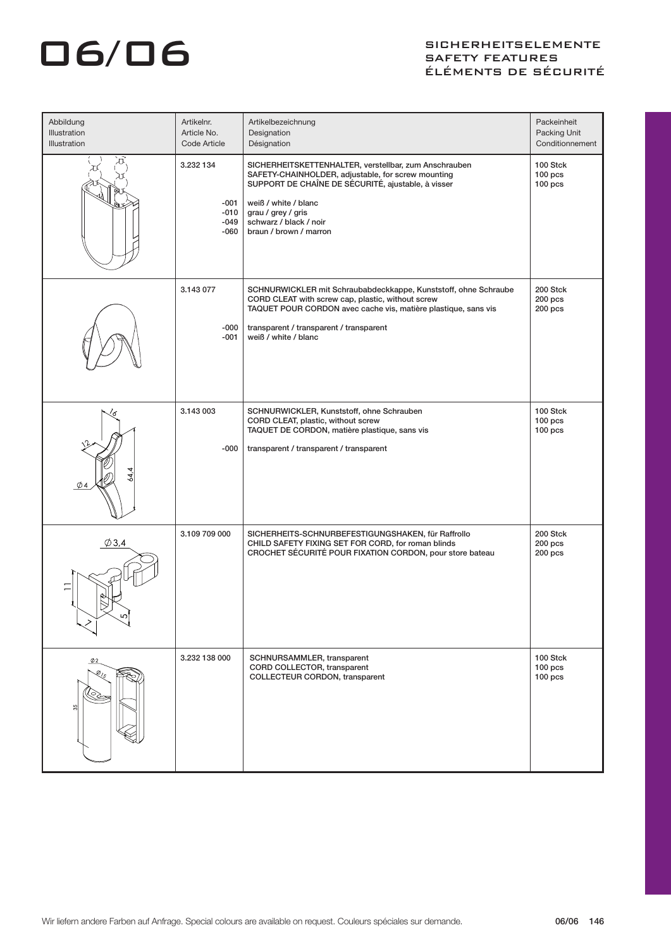# O6/06 SIGHERHEITSELEMENTE SAFETY FEATURES ÉLÉMENTS DE SÉCURITÉ

| Abbildung<br>Illustration<br><b>Illustration</b> | Artikelnr.<br>Article No.<br>Code Article     | Artikelbezeichnung<br>Designation<br>Désignation                                                                                                                                                                                                                    | Packeinheit<br>Packing Unit<br>Conditionnement |
|--------------------------------------------------|-----------------------------------------------|---------------------------------------------------------------------------------------------------------------------------------------------------------------------------------------------------------------------------------------------------------------------|------------------------------------------------|
| 有下                                               | 3.232 134<br>$-001$<br>$-010$<br>-049<br>-060 | SICHERHEITSKETTENHALTER, verstellbar, zum Anschrauben<br>SAFETY-CHAINHOLDER, adjustable, for screw mounting<br>SUPPORT DE CHAÎNE DE SÉCURITÉ, ajustable, à visser<br>weiß / white / blanc<br>grau / grey / gris<br>schwarz / black / noir<br>braun / brown / marron | 100 Stck<br>$100$ pcs<br>$100$ pcs             |
|                                                  | 3.143 077<br>-000<br>-001                     | SCHNURWICKLER mit Schraubabdeckkappe, Kunststoff, ohne Schraube<br>CORD CLEAT with screw cap, plastic, without screw<br>TAQUET POUR CORDON avec cache vis, matière plastique, sans vis<br>transparent / transparent / transparent<br>weiß / white / blanc           | 200 Stck<br>$200$ pcs<br>$200$ pcs             |
| ัส<br>4                                          | 3.143 003<br>-000                             | SCHNURWICKLER, Kunststoff, ohne Schrauben<br>CORD CLEAT, plastic, without screw<br>TAQUET DE CORDON, matière plastique, sans vis<br>transparent / transparent / transparent                                                                                         | 100 Stck<br>$100$ pcs<br>$100$ pcs             |
| $\varphi$ 3,4                                    | 3.109 709 000                                 | SICHERHEITS-SCHNURBEFESTIGUNGSHAKEN, für Raffrollo<br>CHILD SAFETY FIXING SET FOR CORD, for roman blinds<br>CROCHET SÉCURITÉ POUR FIXATION CORDON, pour store bateau                                                                                                | 200 Stck<br>$200$ pcs<br>$200$ pcs             |
| $\phi$ <sub>2</sub><br>ø,<br>.O<br>35            | 3.232 138 000                                 | SCHNURSAMMLER, transparent<br>CORD COLLECTOR, transparent<br>COLLECTEUR CORDON, transparent                                                                                                                                                                         | 100 Stck<br>$100$ pcs<br>$100$ pcs             |